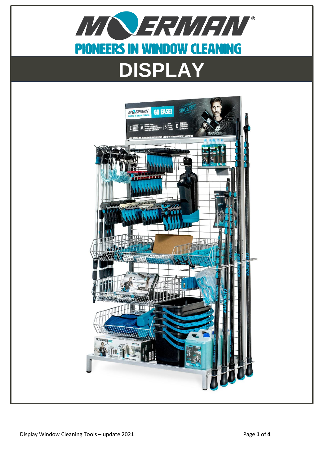

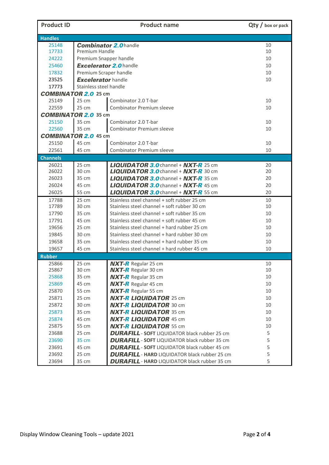| <b>Product ID</b>           |                               | $Qty /$ box or pack                                  |    |  |  |
|-----------------------------|-------------------------------|------------------------------------------------------|----|--|--|
| <b>Handles</b>              |                               |                                                      |    |  |  |
| 25148                       |                               | <b>Combinator 2.0 handle</b>                         | 10 |  |  |
| 17733                       | Premium Handle                | 10                                                   |    |  |  |
| 24222                       |                               | Premium Snapper handle                               |    |  |  |
| 25460                       | <b>Excelerator 2.0 handle</b> | 10                                                   |    |  |  |
| 17832                       | Premium Scraper handle        | 10                                                   |    |  |  |
| 23525                       | <b>Excelerator</b> handle     | 10                                                   |    |  |  |
| 17773                       |                               | Stainless steel handle                               |    |  |  |
| <b>COMBINATOR 2.0 25 cm</b> |                               |                                                      |    |  |  |
| 25149                       | 25 cm                         | Combinator 2.0 T-bar                                 | 10 |  |  |
| 22559                       | 25 cm                         | Combinator Premium sleeve                            | 10 |  |  |
| <b>COMBINATOR 2.0 35 cm</b> |                               |                                                      |    |  |  |
| 25150                       | 35 cm                         | Combinator 2.0 T-bar                                 | 10 |  |  |
| 22560                       | 35 cm                         | Combinator Premium sleeve                            | 10 |  |  |
| <b>COMBINATOR 2.0 45 cm</b> |                               |                                                      |    |  |  |
| 25150                       | 45 cm                         | Combinator 2.0 T-bar                                 | 10 |  |  |
| 22561                       | 45 cm                         | <b>Combinator Premium sleeve</b>                     | 10 |  |  |
| <b>Channels</b>             |                               |                                                      |    |  |  |
| 26021                       | 25 cm                         | <b>LIQUIDATOR 3.0</b> channel + $NXT-R$ 25 cm        | 20 |  |  |
| 26022                       | 30 cm                         | <b>LIQUIDATOR 3.0</b> channel + $NXT-R$ 30 cm        | 20 |  |  |
| 26023                       | 35 cm                         | <b>LIQUIDATOR 3.0</b> channel + NXT-R 35 cm          | 20 |  |  |
| 26024                       | 45 cm                         | <b>LIQUIDATOR 3.0</b> channel + $NXT-R$ 45 cm        | 20 |  |  |
| 26025                       | 55 cm                         | <b>LIQUIDATOR 3.0</b> channel + NXT-R 55 cm          | 20 |  |  |
| 17788                       | 25 cm                         | Stainless steel channel + soft rubber 25 cm          | 10 |  |  |
| 17789                       | 30 cm                         | Stainless steel channel + soft rubber 30 cm          | 10 |  |  |
| 17790                       | 35 cm                         | Stainless steel channel + soft rubber 35 cm          | 10 |  |  |
| 17791                       | 45 cm                         | Stainless steel channel + soft rubber 45 cm          | 10 |  |  |
| 19656                       | 25 cm                         | Stainless steel channel + hard rubber 25 cm          | 10 |  |  |
| 19845                       | 30 cm                         | Stainless steel channel + hard rubber 30 cm          | 10 |  |  |
| 19658                       | 35 cm                         | Stainless steel channel + hard rubber 35 cm          | 10 |  |  |
| 19657                       | 45 cm                         | Stainless steel channel + hard rubber 45 cm          | 10 |  |  |
| <b>Rubber</b>               |                               |                                                      |    |  |  |
| 25866                       | 25 cm                         | <b>NXT-R</b> Regular 25 cm                           | 10 |  |  |
| 25867                       | 30 cm                         | <b>NXT-R</b> Regular 30 cm                           | 10 |  |  |
| 25868                       | 35 cm                         | <b>NXT-R</b> Regular 35 cm                           | 10 |  |  |
| 25869                       | 45 cm                         | <b>NXT-R</b> Regular 45 cm                           | 10 |  |  |
| 25870                       | 55 cm                         | <b>NXT-R</b> Regular 55 cm                           | 10 |  |  |
| 25871                       | 25 cm                         | <b>NXT-R LIQUIDATOR 25 cm</b>                        | 10 |  |  |
| 25872                       | 30 cm                         | <b>NXT-R LIQUIDATOR 30 cm</b>                        | 10 |  |  |
| 25873                       | 35 cm                         | <b>NXT-R LIQUIDATOR 35 cm</b>                        | 10 |  |  |
| 25874                       | 45 cm                         | <b>NXT-R LIQUIDATOR 45 cm</b>                        | 10 |  |  |
| 25875                       | 55 cm                         | <b>NXT-R LIQUIDATOR 55 cm</b>                        | 10 |  |  |
| 23688                       | 25 cm                         | <b>DURAFILL</b> - SOFT LIQUIDATOR black rubber 25 cm | 5  |  |  |
| 23690                       | 35 cm                         | <b>DURAFILL</b> - SOFT LIQUIDATOR black rubber 35 cm | 5  |  |  |
| 23691                       | 45 cm                         | <b>DURAFILL</b> - SOFT LIQUIDATOR black rubber 45 cm | 5  |  |  |
| 23692                       | 25 cm                         | <b>DURAFILL</b> - HARD LIQUIDATOR black rubber 25 cm | 5  |  |  |
| 23694                       | 35 cm                         | <b>DURAFILL</b> - HARD LIQUIDATOR black rubber 35 cm | 5  |  |  |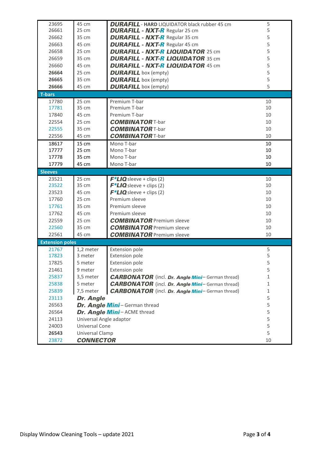| 23695                  | 45 cm                      | <b>DURAFILL</b> - HARD LIQUIDATOR black rubber 45 cm   | 5  |
|------------------------|----------------------------|--------------------------------------------------------|----|
| 26661                  | 25 cm                      | <b>DURAFILL - NXT-R Regular 25 cm</b>                  | 5  |
| 26662                  | 35 cm                      | <b>DURAFILL - NXT-R</b> Regular 35 cm                  | 5  |
| 26663                  | 45 cm                      | <b>DURAFILL - NXT-R</b> Regular 45 cm                  | 5  |
| 26658                  | 25 cm                      | <b>DURAFILL - NXT-R LIQUIDATOR 25 cm</b>               | 5  |
| 26659                  | 35 cm                      | <b>DURAFILL - NXT-R LIQUIDATOR 35 cm</b>               | 5  |
| 26660                  | 45 cm                      | <b>DURAFILL - NXT-R LIQUIDATOR 45 cm</b>               | 5  |
| 26664                  | 25 cm                      | <b>DURAFILL</b> box (empty)                            | 5  |
| 26665                  | 35 cm                      | <b>DURAFILL</b> box (empty)                            | 5  |
| 26666                  | 45 cm                      | <b>DURAFILL</b> box (empty)                            | 5  |
| <b>T-bars</b>          |                            |                                                        |    |
| 17780                  | 25 cm                      | Premium T-bar                                          | 10 |
| 17781                  | 35 cm                      | Premium T-bar                                          | 10 |
| 17840                  | 45 cm                      | Premium T-bar                                          | 10 |
| 22554                  | 25 cm                      | <b>COMBINATOR T-bar</b>                                | 10 |
| 22555                  | 35 cm                      | <b>COMBINATOR T-bar</b>                                | 10 |
| 22556                  | 45 cm                      | <b>COMBINATOR T-bar</b>                                | 10 |
| 18617                  | 15 cm                      | Mono T-bar                                             | 10 |
| 17777                  | 25 cm                      | Mono T-bar                                             | 10 |
| 17778                  | 35 cm                      | Mono T-bar                                             | 10 |
| 17779                  | 45 cm                      | Mono T-bar                                             | 10 |
| <b>Sleeves</b>         |                            |                                                        |    |
| 23521                  | 25 cm                      | $F^*LIO$ sleeve + clips (2)                            | 10 |
| 23522                  | 35 cm                      | $F^*LIO$ sleeve + clips (2)                            | 10 |
| 23523                  | 45 cm                      | $F^*LIO$ sleeve + clips (2)                            | 10 |
| 17760                  | 25 cm                      | Premium sleeve                                         | 10 |
| 17761                  | 35 cm                      | Premium sleeve                                         | 10 |
| 17762                  | 45 cm                      | Premium sleeve                                         | 10 |
| 22559                  | 25 cm                      | <b>COMBINATOR</b> Premium sleeve                       | 10 |
| 22560                  | 35 cm                      | <b>COMBINATOR</b> Premium sleeve                       | 10 |
| 22561                  | 45 cm                      | <b>COMBINATOR</b> Premium sleeve                       | 10 |
| <b>Extension poles</b> |                            |                                                        |    |
| 21767                  | 1,2 meter                  | Extension pole                                         | 5  |
| 17823                  | 3 meter                    | Extension pole                                         | 5  |
| 17825                  | 5 meter                    | <b>Extension pole</b>                                  | 5  |
| 21461                  | 9 meter                    | <b>Extension pole</b>                                  | 5  |
| 25837                  | 3,5 meter                  | <b>CARBONATOR</b> (incl. Dr. Angle Mini-German thread) | 1  |
| 25838                  | 5 meter                    | <b>CARBONATOR</b> (incl. Dr. Angle Mini-German thread) | 1  |
| 25839                  | 7,5 meter                  | <b>CARBONATOR</b> (incl. Dr. Angle Mini-German thread) | 1  |
| 23113                  | Dr. Angle                  |                                                        | 5  |
| 26563                  |                            | Dr. Angle Mini - German thread                         | 5  |
| 26564                  | Dr. Angle Mini-ACME thread | 5                                                      |    |
| 24113                  | Universal Angle adaptor    | 5                                                      |    |
| 24003                  | Universal Cone             | 5                                                      |    |
| 26543                  | Universal Clamp            |                                                        |    |
| 23872                  | <b>CONNECTOR</b>           | 10                                                     |    |